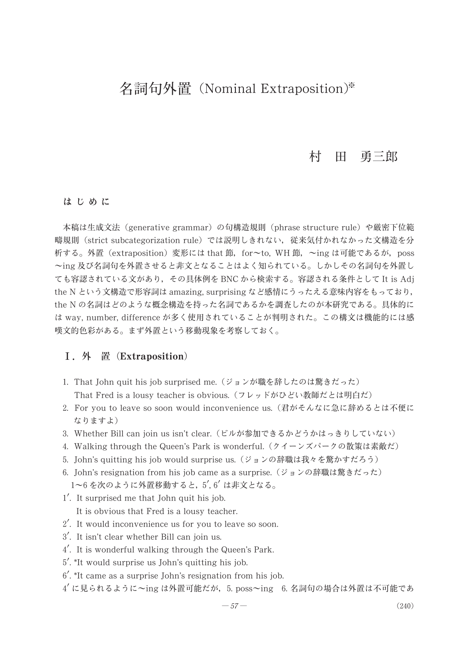# 名詞句外置 (Nominal Extraposition)\*

#### 田 勇三郎 村

#### はじめに

本稿は生成文法 (generative grammar) の句構造規則 (phrase structure rule) や厳密下位範 疇規則 (strict subcategorization rule) では説明しきれない、従来気付かれなかった文構造を分 析する。外置 (extraposition) 変形には that 節, for~to, WH 節, ~ing は可能であるが, poss ~ing 及び名詞句を外置させると非文となることはよく知られている。しかしその名詞句を外置し ても容認されている文があり、その具体例を BNC から検索する。容認される条件として It is Adj the N という文構造で形容詞は amazing, surprising など感情にうったえる意味内容をもっており, the N の名詞はどのような概念構造を持った名詞であるかを調査したのが本研究である。具体的に は way, number, difference が多く使用されていることが判明された。この構文は機能的には感 嘆文的色彩がある。まず外置という移動現象を考察しておく。

# I. 外 置 (Extraposition)

- 1. That John quit his job surprised me. (ジョンが職を辞したのは驚きだった) That Fred is a lousy teacher is obvious. (フレッドがひどい教師だとは明白だ)
- 2. For you to leave so soon would inconvenience us. (君がそんなに急に辞めるとは不便に なりますよ)
- 3. Whether Bill can join us isn't clear. (ビルが参加できるかどうかはっきりしていない)
- 4. Walking through the Queen's Park is wonderful. (クイーンズパークの散策は素敵だ)
- 5. John's quitting his job would surprise us. (ジョンの辞職は我々を驚かすだろう)
- 6. John's resignation from his job came as a surprise. (ジョンの辞職は驚きだった) 1~6を次のように外置移動すると、5', 6' は非文となる。
- 1'. It surprised me that John quit his job. It is obvious that Fred is a lousy teacher.
- 2'. It would inconvenience us for you to leave so soon.
- 3'. It isn't clear whether Bill can join us.
- 4'. It is wonderful walking through the Queen's Park.
- 5'. \*It would surprise us John's quitting his job.
- 6'. \*It came as a surprise John's resignation from his job.
- $4'$ に見られるように~ing は外置可能だが, 5. poss~ing 6. 名詞句の場合は外置は不可能であ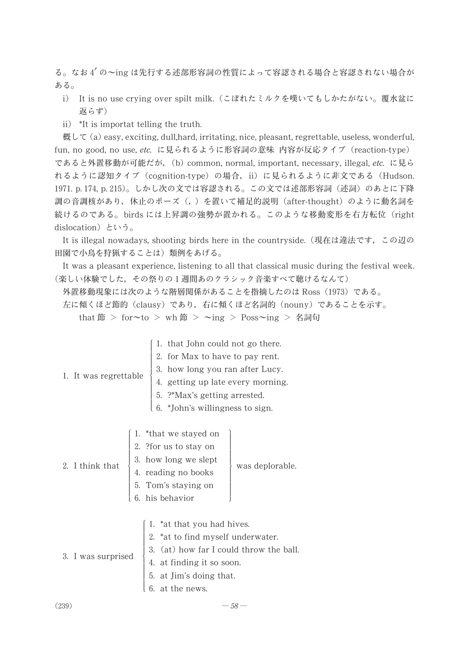る。なお 4' の~ing は先行する述部形容詞の性質によって容認される場合と容認されない場合が ある。

- i) It is no use crying over spilt milk. (こぼれたミルクを嘆いてもしかたがない。覆水盆に 返らず)
- ii) \*It is importat telling the truth.

概して (a) easy, exciting, dull,hard, irritating, nice, pleasant, regrettable, useless, wonderful, fun, no good, no use, etc. に見られるように形容詞の意味 内容が反応タイプ (reaction-type) であると外置移動が可能だが, (b) common, normal, important, necessary, illegal, etc. に見ら れるように認知タイプ (cognition-type) の場合, ii) に見られるように非文である (Hudson. 1971. p. 174, p. 215)。しかし次の文では容認される。この文では述部形容詞(述詞)のあとに下降 調の音調核があり,休止のポーズ(,)を置いて補足的説明 (after-thought) のように動名詞を 続けるのである。birds には上昇調の強勢が置かれる。このような移動変形を右方転位(right dislocation) という。

It is illegal nowadays, shooting birds here in the countryside. (現在は違法です, この辺の 田園で小鳥を狩猟することは)類例をあげる。

It was a pleasant experience, listening to all that classical music during the festival week. (楽しい体験でした, その祭りの1週間あのクラシック音楽すべて聴けるなんて)

外置移動現象には次のような階層関係があることを指摘したのは Ross (1973) である。

左に傾くほど節的 (clausy) であり, 右に傾くほど名詞的 (nouny) であることを示す。

that 節 > for~to > wh 節 > ~ing > Poss~ing > 名詞句

| 1. It was regrettable $\left\{\n\begin{array}{l}\n1. \text{ that John could not go there.}\n2. \text{ for Max to have to pay rent.}\n3. \text{ how long you ran after Lucy.}\n4. \text{ getting up late every morning.}\n5. ?*Max's getting arrested.\n6. *John's willingness to sign.\n\end{array}\n\right\}$ |
|----------------------------------------------------------------------------------------------------------------------------------------------------------------------------------------------------------------------------------------------------------------------------------------------------------------|
| 2. I think that $\begin{bmatrix} 1. & *$ that we stayed on<br>2. I think that $\begin{bmatrix} 2. & * \text{for us to stay on} \\ 3. & \text{how long we slept} \\ 4. & \text{reading no books} \\ 5. & \text{Tom's staying on} \\ 6. & \text{his behavior} \end{bmatrix}$ was deplorable.                     |
| 3. I was surprised<br>$\left\{\n\begin{array}{l}\n1. \text{ *at that you had hives.} \\ 2. \text{ *at to find myself underwater.} \\ 3. \text{ (at) how far I could throw the ball.} \\ 4. \text{ at finding it so soon.} \\ 5. \text{ at Jim's doing that.} \\ 6. \text{ at the news.}\n\end{array}\n\right.$ |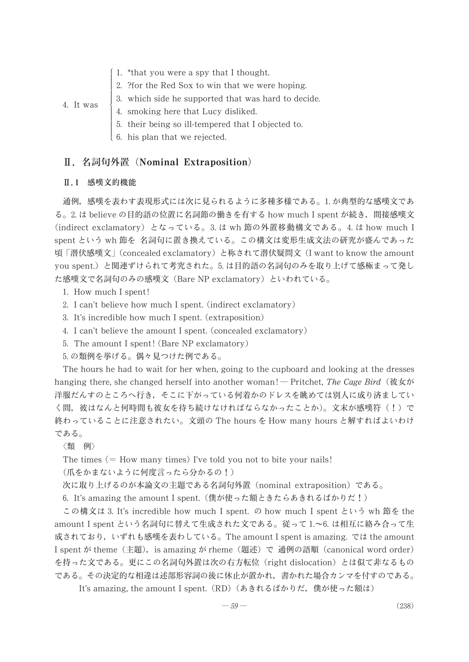- 1. \*that you were a spy that I thought.
- 2. ?for the Red Sox to win that we were hoping.
- 3. which side he supported that was hard to decide.
- 4. smoking here that Lucy disliked.
	- 5. their being so ill-tempered that I objected to.
- 6. his plan that we rejected.

#### Ⅱ. 名詞句外置 (Nominal Extraposition)

#### Ⅱ.1 感嘆文的機能

4. It was

通例, 感嘆を表わす表現形式には次に見られるように多種多様である。1.が典型的な感嘆文であ る。2. は believe の目的語の位置に名詞節の働きを有する how much I spent が続き, 間接感嘆文 (indirect exclamatory) となっている。3. は wh 節の外置移動構文である。4. は how much I spent という wh 節を 名詞句に置き換えている。この構文は変形生成文法の研究が盛んであった 頃「潜伏感嘆文」(concealed exclamatory) と称されて潜伏疑問文 (I want to know the amount you spent.) と関連ずけられて考究された。5. は目的語の名詞句のみを取り上げて感極まって発し た感嘆文で名詞句のみの感嘆文 (Bare NP exclamatory) といわれている。

- 1. How much I spent!
- 2. I can't believe how much I spent. (indirect exclamatory)
- 3. It's incredible how much I spent. (extraposition)
- 4. I can't believe the amount I spent. (concealed exclamatory)
- 5. The amount I spent! (Bare NP exclamatory)
- 5.の類例を挙げる。偶々見つけた例である。

The hours he had to wait for her when, going to the cupboard and looking at the dresses hanging there, she changed herself into another woman! – Pritchet, The Cage Bird (彼女が 洋服だんすのところへ行き,そこに下がっている何着かのドレスを眺めては別人に成り済ましてい く間,彼はなんと何時間も彼女を待ち続けなければならなかったことか)。文末が感嘆符(!)で 終わっていることに注意されたい。文頭の The hours を How many hours と解すればよいわけ である。

〈類 例〉

The times  $(=$  How many times) I've told you not to bite your nails!

(爪をかまないように何度言ったら分かるの!)

次に取り上げるのが本論文の主題である名詞句外置 (nominal extraposition) である。

6. It's amazing the amount I spent. (僕が使った額ときたらあきれるばかりだ!)

この構文は 3. It's incredible how much I spent. の how much I spent という wh 節を the amount I spent という名詞句に替えて生成された文である。従って 1.~6. は相互に絡み合って生 成されており,いずれも感嘆を表わしている。The amount I spent is amazing. では the amount I spent が theme (主題), is amazing が rheme (題述) で 通例の語順 (canonical word order) を持った文である。更にこの名詞句外置は次の右方転位(right dislocation)とは似て非なるもの である。その決定的な相違は述部形容詞の後に休止が置かれ,書かれた場合カンマを付すのである。

It's amazing, the amount I spent. (RD) (あきれるばかりだ, 僕が使った額は)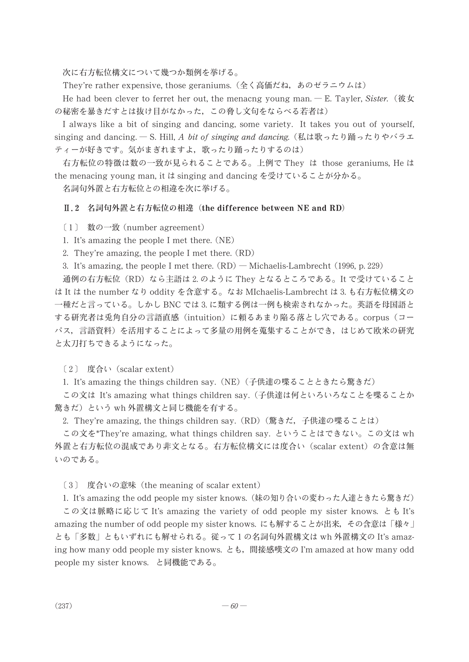次に右方転位構文について幾つか類例を挙げる。

They're rather expensive, those geraniums. (全く高価だね, あのゼラニウムは)

He had been clever to ferret her out, the menacng young man.  $-E$ . Tayler, Sister. ( $\mathcal{R} \not\subset \mathcal{L}$ ) の秘密を暴きだすとは抜け目がなかった、この脅し文句をならべる若者は)

I always like a bit of singing and dancing, some variety. It takes you out of yourself, singing and dancing. – S. Hill, A bit of singing and dancing. (私は歌ったり踊ったりやバラエ ティーが好きです。気がまぎれますよ、歌ったり踊ったりするのは)

右方転位の特徴は数の一致が見られることである。上例で They は those geraniums, He は the menacing young man, it は singing and dancing を受けていることが分かる。

名詞句外置と右方転位との相違を次に挙げる。

#### Ⅱ.2 名詞句外置と右方転位の相違 (the difference between NE and RD)

[1] 数の一致 (number agreement)

1. It's amazing the people I met there. (NE)

2. They're amazing, the people I met there. (RD)

3. It's amazing, the people I met there.  $(RD)$  – Michaelis-Lambrecht (1996, p. 229)

通例の右方転位 (RD) なら主語は 2. のように They となるところである。It で受けていること は It は the number なり oddity を含意する。なお MIchaelis-Lambrecht は 3. も右方転位構文の 一種だと言っている。しかし BNC では 3. に類する例は一例も検索されなかった。英語を母国語と する研究者は兎角自分の言語直感(intuition)に頼るあまり陥る落とし穴である。corpus(コー パス、言語資料)を活用することによって多量の用例を蒐集することができ、はじめて欧米の研究 と太刀打ちできるようになった。

[2] 度合い (scalar extent)

1. It's amazing the things children say.(NE)(子供達の喋ることときたら驚きだ)

この文は It's amazing what things children say.(子供達は何といろいろなことを喋ることか 驚きだ)という wh 外置構文と同じ機能を有する。

2. They're amazing, the things children say. (RD) (驚きだ, 子供達の喋ることは)

この文を\*They're amazing, what things children say. ということはできない。この文は wh 外置と右方転位の混成であり非文となる。右方転位構文には度合い (scalar extent) の含意は無 いのである。

[3] 度合いの意味 (the meaning of scalar extent)

1. It's amazing the odd people my sister knows. (妹の知り合いの変わった人達ときたら驚きだ)

この文は脈略に応じて It's amazing the variety of odd people my sister knows. とも It's amazing the number of odd people my sister knows. にも解することが出来, その含意は「様々」 とも「多数」ともいずれにも解せられる。従って1の名詞句外置構文は wh 外置構文の It's amazing how many odd people my sister knows. とも, 間接感嘆文の I'm amazed at how many odd people my sister knows.と同機能である。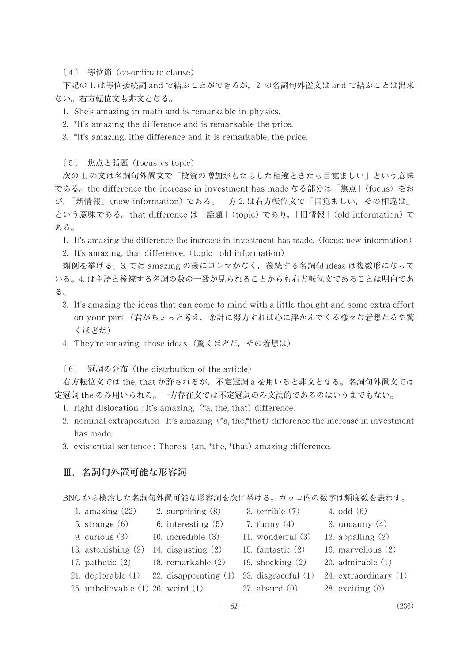〔4〕 等位節 (co-ordinate clause)

下記の 1. は等位接続詞 and で結ぶことができるが,2. の名詞句外置文は and で結ぶことは出来 ない。右方転位文も非文となる。

1. She's amazing in math and is remarkable in physics.

2. \*It's amazing the difference and is remarkable the price.

3. \*It's amazing, ithe difference and it is remarkable, the price.

[5] 焦点と話題 (focus vs topic)

次の 1. の文は名詞句外置文で「投資の増加がもたらした相違ときたら目覚ましい」という意味 である。the difference the increase in investment has made なる部分は「焦点」(focus) をお び,「新情報」(new information) である。一方 2. は右方転位文で「目覚ましい, その相違は」 という意味である。that difference は「話題」(topic) であり,「旧情報」(old information) で ある。

1. It's amazing the difference the increase in investment has made. (focus: new information)

2. It's amazing, that difference. (topic : old information)

類例を挙げる。3. では amazing の後にコンマがなく、後続する名詞句 ideas は複数形になって いる。4. は主語と後続する名詞の数の一致が見られることからも右方転位文であることは明白であ る。

- 3. It's amazing the ideas that can come to mind with a little thought and some extra effort on your part. (君がちょっと考え, 余計に努力すれば心に浮かんでくる様々な着想たるや驚 くほどだ)
- 4. They're amazing, those ideas. (驚くほどだ, その着想は)

〔6〕 冠詞の分布 (the distrbution of the article)

右方転位文では the, that が許されるが,不定冠詞 a を用いると非文となる。名詞句外置文では 定冠詞 the のみ用いられる。一方存在文では不定冠詞のみ文法的であるのはいうまでもない。

- 1. right dislocation : It's amazing, (\*a, the, that) difference.
- 2. nominal extraposition : It's amazing  $(*a, the, *that)$  difference the increase in investment has made.
- 3. existential sentence: There's (an, \*the, \*that) amazing difference.

#### Ⅲ.名詞句外置可能な形容詞

BNC から検索した名詞句外置可能な形容詞を次に挙げる。カッコ内の数字は頻度数を表わす。

3. terrible  $(7)$ 

7. funny  $(4)$ 

11. wonderful (3)

15. fantastic (2)

19. shocking  $(2)$ 

 $27.$  absurd  $(0)$ 

4. odd  $(6)$ 

8. uncanny  $(4)$ 

12. appalling  $(2)$ 

28. exciting  $(0)$ 

16. marvellous  $(2)$  $20.$  admirable  $(1)$ 

24. extraordinary  $(1)$ 

- 1. amazing  $(22)$ 2. surprising  $(8)$
- 5. strange  $(6)$ 6. interesting  $(5)$

9. curious  $(3)$ 

- 10. incredible  $(3)$ 13. astonishing  $(2)$  14. disgusting  $(2)$
- 17. pathetic  $(2)$ 18. remarkable (2)
- 21. deplorable  $(1)$  22. disappointing  $(1)$  23. disgraceful  $(1)$
- 25. unbelievable  $(1)$  26. weird  $(1)$
- $-61-$

 $(236)$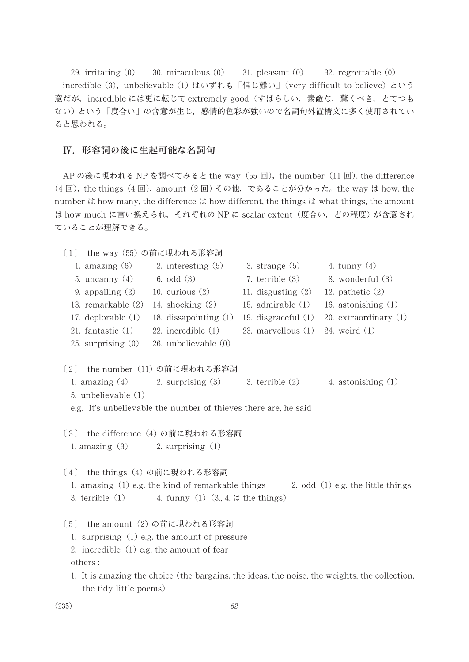29. irritating  $(0)$  $30.$  miraculous  $(0)$  $31.$  pleasant  $(0)$  $32.$  regrettable  $(0)$ incredible (3), unbelievable (1) はいずれも「信じ難い」 (very difficult to believe) という 意だが,incredible には更に転じて extremely good(すばらしい,素敵な,驚くべき,とてつも ない)という「度合い」の含意が生じ、感情的色彩が強いので名詞句外置構文に多く使用されてい ると思われる。

#### Ⅳ.形容詞の後に生起可能な名詞句

AP の後に現われる NP を調べてみると the way(55 回),the number(11 回).the difference (4回), the things (4回), amount (2回) その他, であることが分かった。the way は how, the number it how many, the difference it how different, the things it what things, the amount は how much に言い換えられ、それぞれの NP に scalar extent (度合い, どの程度) が含意され ていることが理解できる。

- [1] the way (55) の前に現われる形容詞 1. amazing  $(6)$ 2. interesting  $(5)$ 3. strange  $(5)$ 4. funny  $(4)$ 6. odd  $(3)$ 7. terrible (3) 5. uncanny  $(4)$ 8. wonderful (3) 9. appalling  $(2)$ 10. curious  $(2)$ 11. disgusting  $(2)$ 12. pathetic  $(2)$ 13. remarkable (2) 15. admirable  $(1)$ 14. shocking (2) 16. astonishing  $(1)$ 17. deplorable  $(1)$ 18. dissapointing  $(1)$ 19. disgraceful  $(1)$ 20. extraordinary  $(1)$  $23.$  marvellous  $(1)$ 21. fantastic  $(1)$ 22. incredible  $(1)$  $24.$  weird  $(1)$ 25. surprising  $(0)$ 26. unbelievable (0) 〔2〕 the number (11) の前に現われる形容詞 1. amazing  $(4)$ 3. terrible  $(2)$ 4. astonishing  $(1)$ 2. surprising  $(3)$ 5. unbelievable (1) e.g. It's unbelievable the number of thieves there are, he said [3] the difference (4) の前に現われる形容詞 1. amazing  $(3)$ 2. surprising  $(1)$ [4] the things (4) の前に現われる形容詞 1. amazing  $(1)$  e.g. the kind of remarkable things 2. odd  $(1)$  e.g. the little things 4. funny  $(1)$   $(3, 4, 1)$  the things) 3. terrible  $(1)$ [5] the amount (2) の前に現われる形容詞 1. surprising  $(1)$  e.g. the amount of pressure 2. incredible  $(1)$  e.g. the amount of fear others: 1. It is amazing the choice (the bargains, the ideas, the noise, the weights, the collection,
- $(235)$

the tidy little poems)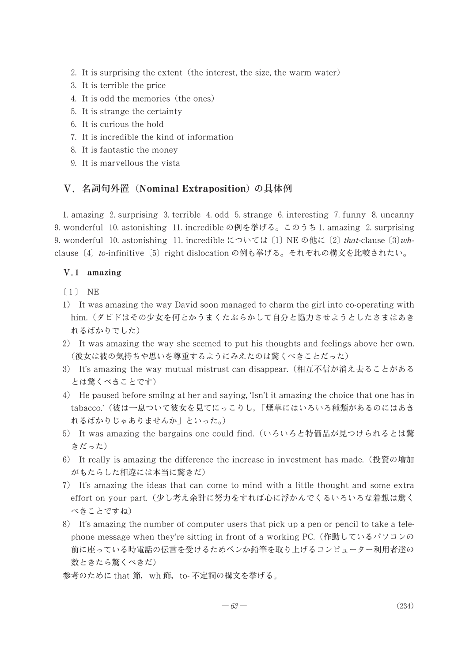- 2. It is surprising the extent (the interest, the size, the warm water)
- 3. It is terrible the price
- 4. It is odd the memories (the ones)
- 5. It is strange the certainty
- 6. It is curious the hold
- 7. It is incredible the kind of information
- 8. It is fantastic the money
- 9. It is marvellous the vista

#### V. 名詞句外置 (Nominal Extraposition) の具体例

1. amazing 2. surprising 3. terrible 4. odd 5. strange 6. interesting 7. funny 8. uncanny 9. wonderful 10. astonishing 11. incredible の例を挙げる。このうち 1. amazing 2. surprising 9. wonderful 10. astonishing 11. incredible については [1] NE の他に [2] that-clause  $(3)wh$ clause [4] to-infinitive [5] right dislocation の例も挙げる。それぞれの構文を比較されたい。

## V.1 amazing

- $(1)$  NE
- 1) It was amazing the way David soon managed to charm the girl into co-operating with him. (ダビドはその少女を何とかうまくたぶらかして自分と協力させようとしたさまはあき れるばかりでした)
- 2) It was amazing the way she seemed to put his thoughts and feelings above her own. (彼女は彼の気持ちや思いを尊重するようにみえたのは驚くべきことだった)
- 3) It's amazing the way mutual mistrust can disappear. (相互不信が消え去ることがある とは驚くべきことです)
- 4) He paused before smilng at her and saying, 'Isn't it amazing the choice that one has in tabacco.'(彼は一息ついて彼女を見てにっこりし、「煙草にはいろいろ種類があるのにはあき れるばかりじゃありませんか」といった。)
- 5) It was amazing the bargains one could find. (いろいろと特価品が見つけられるとは驚 きだった)
- 6) It really is amazing the difference the increase in investment has made. (投資の増加 がもたらした相違には本当に驚きだ)
- 7) It's amazing the ideas that can come to mind with a little thought and some extra effort on your part. (少し考え余計に努力をすれば心に浮かんでくるいろいろな着想は驚く べきことですね)
- 8) It's amazing the number of computer users that pick up a pen or pencil to take a telephone message when they're sitting in front of a working PC. (作動しているパソコンの 前に座っている時電話の伝言を受けるためペンか鉛筆を取り上げるコンピューター利用者達の 数ときたら驚くべきだ)
- 参考のために that 節, wh 節, to- 不定詞の構文を挙げる。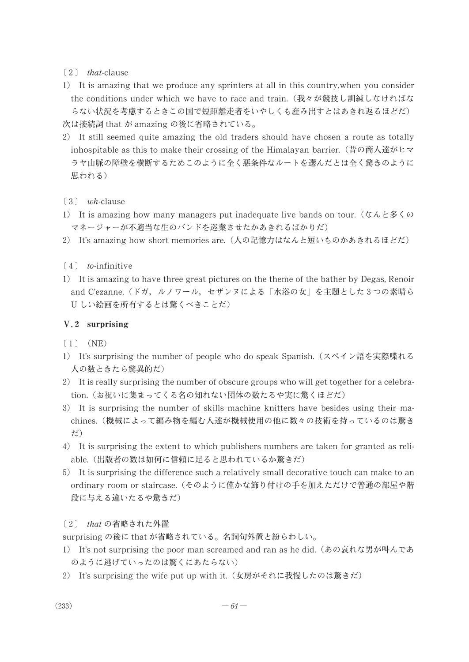$\lceil 2 \rceil$  that-clause

- 1) It is amazing that we produce any sprinters at all in this country, when you consider the conditions under which we have to race and train. (我々が競技し訓練しなければな らない状況を考慮するときこの国で短距離走者をいやしくも産み出すとはあきれ返るほどだ) 次は接続詞 that が amazing の後に省略されている。
- 2) It still seemed quite amazing the old traders should have chosen a route as totally inhospitable as this to make their crossing of the Himalayan barrier. (昔の商人達がヒマ ラヤ山脈の障壁を横断するためこのように全く悪条件なルートを選んだとは全く驚きのように 思われる)
- $(3)$  wh-clause
- 1) It is amazing how many managers put inadequate live bands on tour.  $(\tau \wedge \tau) \otimes \tau$ マネージャーが不適当な生のバンドを巡業させたかあきれるばかりだ)
- 2) It's amazing how short memories are. (人の記憶力はなんと短いものかあきれるほどだ)
- $(4)$  to-infinitive
- 1) It is amazing to have three great pictures on the theme of the bather by Degas, Renoir and C'ezanne. (ドガ, ルノワール, セザンヌによる「水浴の女」を主題とした3つの素晴ら U しい絵画を所有するとは驚くべきことだ)

#### V.2 surprising

 $(1)$  (NE)

- 1) It's surprising the number of people who do speak Spanish. (スペイン語を実際喋れる 人の数ときたら驚異的だ)
- 2) It is really surprising the number of obscure groups who will get together for a celebration. (お祝いに集まってくる名の知れない団体の数たるや実に驚くほどだ)
- 3) It is surprising the number of skills machine knitters have besides using their machines. (機械によって編み物を編む人達が機械使用の他に数々の技術を持っているのは驚き だ)
- 4) It is surprising the extent to which publishers numbers are taken for granted as reliable. (出版者の数は如何に信頼に足ると思われているか驚きだ)
- 5) It is surprising the difference such a relatively small decorative touch can make to an ordinary room or staircase. (そのように僅かな飾り付けの手を加えただけで普通の部屋や階 段に与える違いたるや驚きだ)

[2] that の省略された外置

surprising の後に that が省略されている。名詞句外置と紛らわしい。

- 1) It's not surprising the poor man screamed and ran as he did. (あの哀れな男が叫んであ のように逃げていったのは驚くにあたらない)
- 2) It's surprising the wife put up with it. (女房がそれに我慢したのは驚きだ)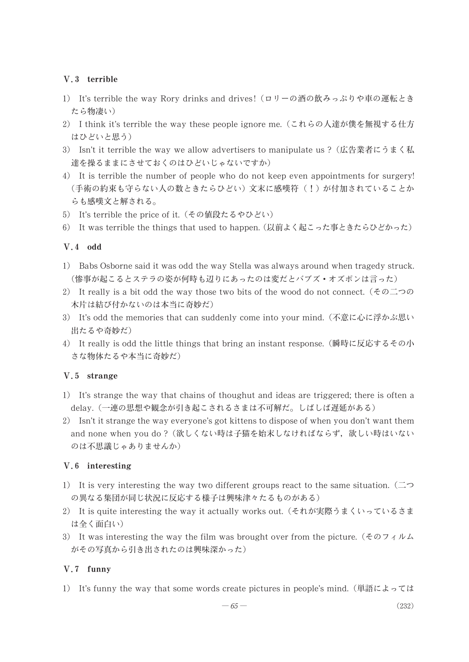# V.3 terrible

- 1) It's terrible the way Rory drinks and drives! (ロリーの酒の飲みっぷりや車の運転とき たら物凄い)
- 2) I think it's terrible the way these people ignore me. (これらの人達が僕を無視する仕方 はひどいと思う)
- 3) Isn't it terrible the way we allow advertisers to manipulate us? (広告業者にうまく私 達を操るままにさせておくのはひどいじゃないですか)
- 4) It is terrible the number of people who do not keep even appointments for surgery! (手術の約束も守らない人の数ときたらひどい)文末に感嘆符(!)が付加されていることか らも感嘆文と解される。
- 5) It's terrible the price of it. (その値段たるやひどい)
- 6) It was terrible the things that used to happen. (以前よく起こった事ときたらひどかった)

# $V.4$  odd

- 1) Babs Osborne said it was odd the way Stella was always around when tragedy struck. (惨事が起こるとステラの姿が何時も辺りにあったのは変だとバブズ・オズボンは言った)
- 2) It really is a bit odd the way those two bits of the wood do not connect.  $(60 \text{ m})$ 木片は結び付かないのは本当に奇妙だ)
- 3) It's odd the memories that can suddenly come into your mind. (不意に心に浮かぶ思い 出たるや奇妙だ)
- 4) It really is odd the little things that bring an instant response. (瞬時に反応するその小 さな物体たるや本当に奇妙だ)

#### V.5 strange

- 1) It's strange the way that chains of thoughut and ideas are triggered; there is often a delay. (一連の思想や観念が引き起こされるさまは不可解だ。しばしば遅延がある)
- 2) Isn't it strange the way everyone's got kittens to dispose of when you don't want them and none when you do? (欲しくない時は子猫を始末しなければならず、欲しい時はいない のは不思議じゃありませんか)

# V.6 interesting

- 1) It is very interesting the way two different groups react to the same situation.  $(\square \supset$ の異なる集団が同じ状況に反応する様子は興味津々たるものがある)
- 2) It is quite interesting the way it actually works out. (それが実際うまくいっているさま は全く面白い)
- 3) It was interesting the way the film was brought over from the picture. ( $\xi \varnothing$ ) がその写真から引き出されたのは興味深かった)

# V.7 funny

1) It's funny the way that some words create pictures in people's mind. (単語によっては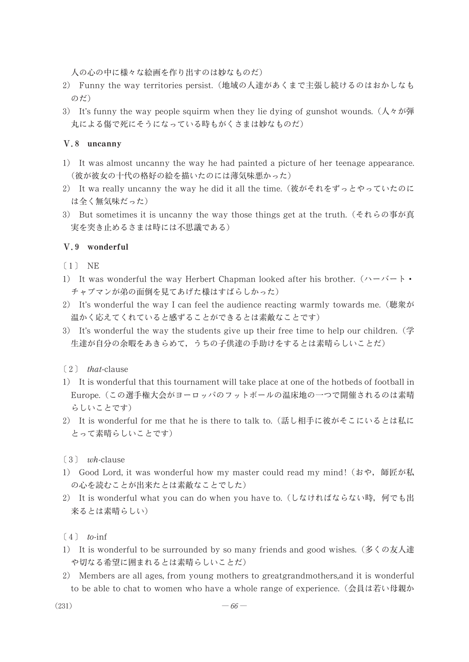人の心の中に様々な絵画を作り出すのは妙なものだ)

- 2) Funny the way territories persist. (地域の人達があくまで主張し続けるのはおかしなも のだ)
- 3) It's funny the way people squirm when they lie dying of gunshot wounds. ( $\lambda \sim \pi$ ) 丸による傷で死にそうになっている時もがくさまは妙なものだ)

#### V.8 uncanny

- 1) It was almost uncanny the way he had painted a picture of her teenage appearance. (彼が彼女の十代の格好の絵を描いたのには薄気味悪かった)
- 2) It wa really uncanny the way he did it all the time. (彼がそれをずっとやっていたのに は全く無気味だった)
- 3) But sometimes it is uncanny the way those things get at the truth. (それらの事が真 実を突き止めるさまは時には不思議である)

#### V.9 wonderful

- $(1)$  NE
- 1) It was wonderful the way Herbert Chapman looked after his brother.  $(\wedge \wedge^{\mathbf{r}}) \cdot \bullet$ チャプマンが弟の面倒を見てあげた様はすばらしかった)
- 2) It's wonderful the way I can feel the audience reacting warmly towards me. (聴衆が 温かく応えてくれていると感ずることができるとは素敵なことです)
- 3) It's wonderful the way the students give up their free time to help our children.  $(\frac{4}{5})$ 生達が自分の余暇をあきらめて、うちの子供達の手助けをするとは素晴らしいことだ)

#### $(2)$  that-clause

- 1) It is wonderful that this tournament will take place at one of the hotbeds of football in Europe.(この選手権大会がヨーロッパのフットボールの温床地の一つで開催されるのは素晴 らしいことです)
- 2) It is wonderful for me that he is there to talk to. (話し相手に彼がそこにいるとは私に とって素晴らしいことです)

#### $\lceil 3 \rceil$  wh-clause

- 1) Good Lord, it was wonderful how my master could read my mind! (おや, 師匠が私 の心を読むことが出来たとは素敵なことでした)
- 2) It is wonderful what you can do when you have to. (しなければならない時, 何でも出 来るとは素晴らしい)
- $\lceil 4 \rceil$  to-inf
- 1) It is wonderful to be surrounded by so many friends and good wishes. (多くの友人達 や切なる希望に囲まれるとは素晴らしいことだ)
- 2) Members are all ages, from young mothers to greatgrand mothers, and it is wonderful to be able to chat to women who have a whole range of experience. (会員は若い母親か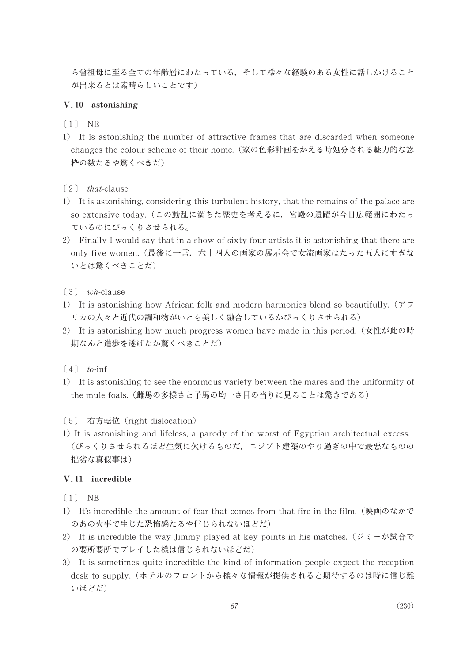ら曾祖母に至る全ての年齢層にわたっている、そして様々な経験のある女性に話しかけること が出来るとは素晴らしいことです)

# V.10 astonishing

- $(1)$  NE
- 1) It is astonishing the number of attractive frames that are discarded when someone changes the colour scheme of their home. (家の色彩計画をかえる時処分される魅力的な窓 枠の数たるや驚くべきだ)
- $\left( 2 \right)$  *that*-clause
- 1) It is astonishing, considering this turbulent history, that the remains of the palace are so extensive today. (この動乱に満ちた歴史を考えるに、宮殿の遺蹟が今日広範囲にわたっ ているのにびっくりさせられる。
- 2) Finally I would say that in a show of sixty-four artists it is astonishing that there are only five women. (最後に一言, 六十四人の画家の展示会で女流画家はたった五人にすぎな いとは驚くべきことだ)
- $(3)$  wh-clause
- 1) It is astonishing how African folk and modern harmonies blend so beautifully.  $(77$ リカの人々と近代の調和物がいとも美しく融合しているかびっくりさせられる)
- 2) It is astonishing how much progress women have made in this period. (女性が此の時 期なんと進歩を遂げたか驚くべきことだ)
- $(4)$  to-inf
- 1) It is astonishing to see the enormous variety between the mares and the uniformity of the mule foals. (雌馬の多様さと子馬の均一さ目の当りに見ることは驚きである)
- [5] 右方転位 (right dislocation)
- 1) It is astonishing and lifeless, a parody of the worst of Egyptian architectual excess. (びっくりさせられるほど生気に欠けるものだ、エジプト建築のやり過ぎの中で最悪なものの 拙劣な真似事は)

#### V.11 incredible

- $(1)$  NE
- 1) It's incredible the amount of fear that comes from that fire in the film. (映画のなかで のあの火事で生じた恐怖感たるや信じられないほどだ)
- 2) It is incredible the way Jimmy played at key points in his matches. (ジミーが試合で の要所要所でプレイした様は信じられないほどだ)
- 3) It is sometimes quite incredible the kind of information people expect the reception desk to supply. (ホテルのフロントから様々な情報が提供されると期待するのは時に信じ難 いほどだ)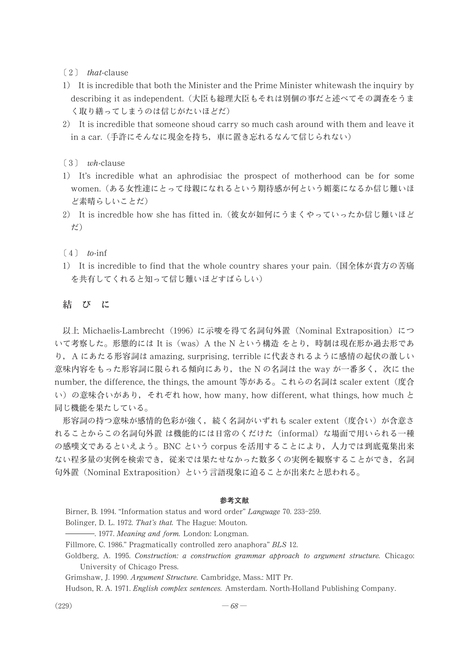- $\lceil 2 \rceil$  that-clause
- 1) It is incredible that both the Minister and the Prime Minister white wash the inquiry by describing it as independent. (大臣も総理大臣もそれは別個の事だと述べてその調査をうま く取り繕ってしまうのは信じがたいほどだ)
- 2) It is incredible that someone shoud carry so much cash around with them and leave it in a car. (手許にそんなに現金を持ち、車に置き忘れるなんて信じられない)
- $\lceil 3 \rceil$  wh-clause
- 1) It's incredible what an aphrodisiac the prospect of motherhood can be for some women. (ある女性達にとって母親になれるという期待感が何という媚薬になるか信じ難いほ ど素晴らしいことだ)
- 2) It is incredble how she has fitted in. (彼女が如何にうまくやっていったか信じ難いほど だ)
- $\lceil 4 \rceil$  to-inf
- 1) It is incredible to find that the whole country shares your pain. (国全体が貴方の苦痛 を共有してくれると知って信じ難いほどすばらしい)

#### 結びに

以上 Michaelis-Lambrecht (1996) に示唆を得て名詞句外置 (Nominal Extraposition) につ いて考察した。形態的には It is (was) A the N という構造 をとり、時制は現在形か過去形であ り, A にあたる形容詞は amazing, surprising, terrible に代表されるように感情の起伏の激しい 意味内容をもった形容詞に限られる傾向にあり,the N の名詞は the way が一番多く,次に the number, the difference, the things, the amount 等がある。これらの名詞は scaler extent (度合 い)の意味合いがあり、それぞれ how, how many, how different, what things, how much と 同じ機能を果たしている。

形容詞の持つ意味が感情的色彩が強く、続く名詞がいずれも scaler extent (度合い) が含意さ れることからこの名詞句外置は機能的には日常のくだけた (informal) な場面で用いられる一種 の感嘆文であるといえよう。BNC という corpus を活用することにより、人力では到底蒐集出来 ない程多量の実例を検索でき、従来では果たせなかった数多くの実例を観察することができ、名詞 句外置 (Nominal Extraposition) という言語現象に迫ることが出来たと思われる。

#### 参考文献

Birner, B. 1994. "Information status and word order" Language 70. 233-259.

- Bolinger, D. L. 1972. That's that. The Hague: Mouton.
- -. 1977. Meaning and form. London: Longman.
- Fillmore, C. 1986." Pragmatically controlled zero anaphora" BLS 12.
- Goldberg, A. 1995. Construction: a construction grammar approach to argument structure. Chicago: University of Chicago Press.
- Grimshaw, J. 1990. Argument Structure. Cambridge, Mass.: MIT Pr.

Hudson, R. A. 1971. *English complex sentences*. Amsterdam. North-Holland Publishing Company.